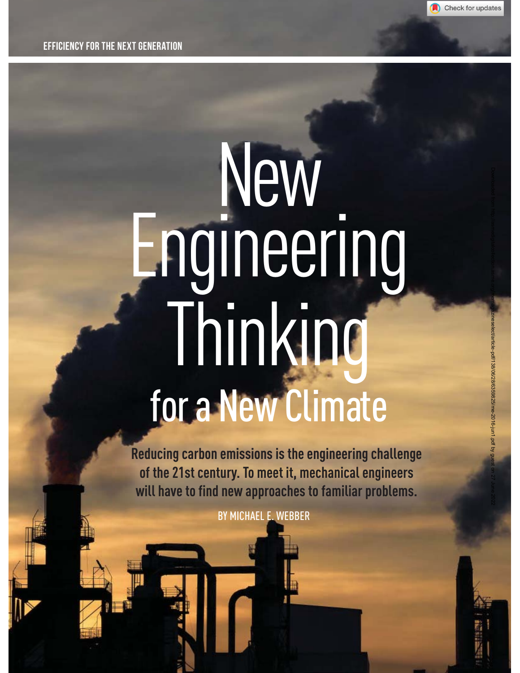

Downloaded from http://asmedigitalcollection.asme.org/memagazineselect/article-pdf/138/06/28/6359825/me-2016-jun1.pdf by guest on 27 June 2022

EFFICIENCY FOR THE NEXT GENERATION

# New Engineering Thinking for a New Climate

**Reducing carbon emissions is the engineering challenge of the 21st century. To meet it, mechanical engineers will have to find new approaches to familiar problems.**

BY MICHAEL E. WEBBER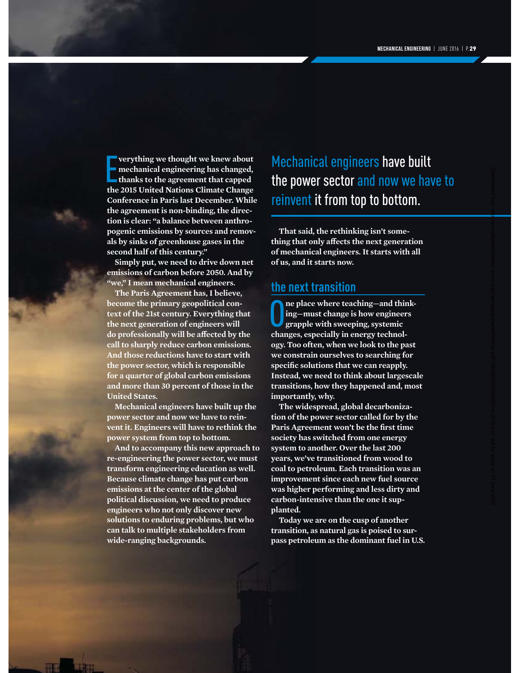Downloaded from http://asmedigitalcollection.asme.org/memagazineselect/article-pdf/138/06/28/6359825/me-2016-jun1.pdf by guest on 27 June 2022

**the 2015 United National School of the 2015 United Nations Climate Change and School of Nations Climate Change and School School of Nations Climate Change and School School School School School School School School School verything we thought we knew about mechanical engineering has changed, thanks to the agreement that capped Conference in Paris last December. While the agreement is non-binding, the direction is clear: "a balance between anthropogenic emissions by sources and removals by sinks of greenhouse gases in the second half of this century."**

**Simply put, we need to drive down net emissions of carbon before 2050. And by "we," I mean mechanical engineers.**

**The Paris Agreement has, I believe, become the primary geopolitical context of the 21st century. Everything that the next generation of engineers will**  do professionally will be affected by the **call to sharply reduce carbon emissions. And those reductions have to start with the power sector, which is responsible for a quarter of global carbon emissions and more than 30 percent of those in the United States.**

**Mechanical engineers have built up the power sector and now we have to reinvent it. Engineers will have to rethink the power system from top to bottom.** 

**And to accompany this new approach to re-engineering the power sector, we must transform engineering education as well. Because climate change has put carbon emissions at the center of the global political discussion, we need to produce engineers who not only discover new solutions to enduring problems, but who can talk to multiple stakeholders from wide-ranging backgrounds.**

Mechanical engineers have built the power sector and now we have to reinvent it from top to bottom.

**That said, the rethinking isn't something that only aff ects the next generation of mechanical engineers. It starts with all of us, and it starts now.**

#### **the next transition**

**c** here teaching—and this ing—must change is how engineer grapple with sweeping, systemic changes, especially in energy technol**ne place where teaching—and thinking—must change is how engineers grapple with sweeping, systemic ogy. Too often, when we look to the past we constrain ourselves to searching for**  specific solutions that we can reapply. **Instead, we need to think about largescale transitions, how they happened and, most importantly, why.** 

**The widespread, global decarbonization of the power sector called for by the**  Paris Agreement won't be the first time **society has switched from one energy system to another. Over the last 200 years, we've transitioned from wood to coal to petroleum. Each transition was an improvement since each new fuel source was higher performing and less dirty and carbon-intensive than the one it supplanted.**

**Today we are on the cusp of another transition, as natural gas is poised to surpass petroleum as the dominant fuel in U.S.**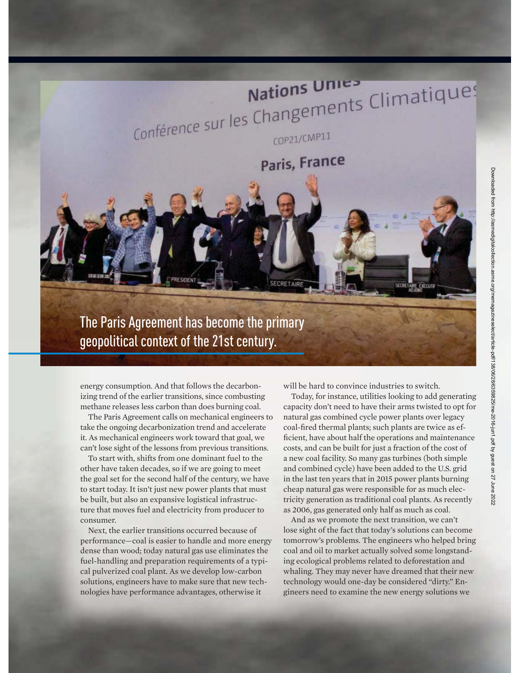## Nations Unies<br>
Conférence sur les Changements Climatiques Nations Unie

COP21/CMP11

Paris, France



The Paris Agreement has become the primary geopolitical context of the 21st century.

energy consumption. And that follows the decarbonizing trend of the earlier transitions, since combusting methane releases less carbon than does burning coal.

The Paris Agreement calls on mechanical engineers to take the ongoing decarbonization trend and accelerate it. As mechanical engineers work toward that goal, we can't lose sight of the lessons from previous transitions.

To start with, shifts from one dominant fuel to the other have taken decades, so if we are going to meet the goal set for the second half of the century, we have to start today. It isn't just new power plants that must be built, but also an expansive logistical infrastructure that moves fuel and electricity from producer to consumer.

Next, the earlier transitions occurred because of performance—coal is easier to handle and more energy dense than wood; today natural gas use eliminates the fuel-handling and preparation requirements of a typical pulverized coal plant. As we develop low-carbon solutions, engineers have to make sure that new technologies have performance advantages, otherwise it

will be hard to convince industries to switch.

Today, for instance, utilities looking to add generating capacity don't need to have their arms twisted to opt for natural gas combined cycle power plants over legacy coal-fired thermal plants; such plants are twice as efficient, have about half the operations and maintenance costs, and can be built for just a fraction of the cost of a new coal facility. So many gas turbines (both simple and combined cycle) have been added to the U.S. grid in the last ten years that in 2015 power plants burning cheap natural gas were responsible for as much electricity generation as traditional coal plants. As recently as 2006, gas generated only half as much as coal.

And as we promote the next transition, we can't lose sight of the fact that today's solutions can become tomorrow's problems. The engineers who helped bring coal and oil to market actually solved some longstanding ecological problems related to deforestation and whaling. They may never have dreamed that their new technology would one-day be considered "dirty." Engineers need to examine the new energy solutions we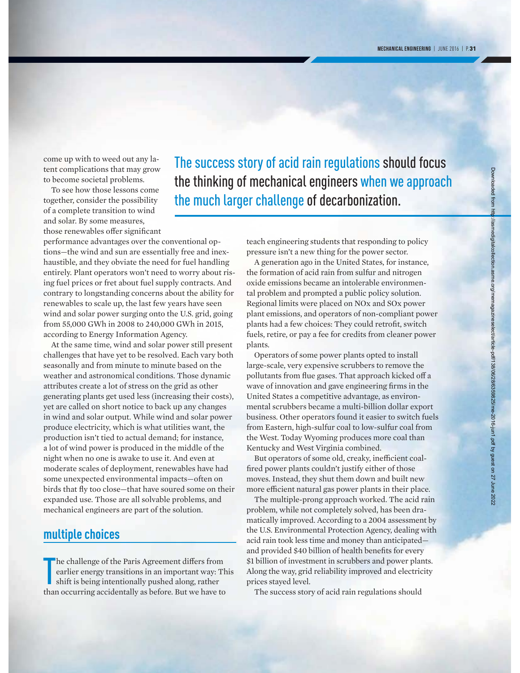come up with to weed out any latent complications that may grow to become societal problems.

To see how those lessons come together, consider the possibility of a complete transition to wind and solar. By some measures, those renewables offer significant

performance advantages over the conventional options—the wind and sun are essentially free and inexhaustible, and they obviate the need for fuel handling entirely. Plant operators won't need to worry about rising fuel prices or fret about fuel supply contracts. And contrary to longstanding concerns about the ability for renewables to scale up, the last few years have seen wind and solar power surging onto the U.S. grid, going from 55,000 GWh in 2008 to 240,000 GWh in 2015, according to Energy Information Agency.

At the same time, wind and solar power still present challenges that have yet to be resolved. Each vary both seasonally and from minute to minute based on the weather and astronomical conditions. Those dynamic attributes create a lot of stress on the grid as other generating plants get used less (increasing their costs), yet are called on short notice to back up any changes in wind and solar output. While wind and solar power produce electricity, which is what utilities want, the production isn't tied to actual demand; for instance, a lot of wind power is produced in the middle of the night when no one is awake to use it. And even at moderate scales of deployment, renewables have had some unexpected environmental impacts—often on birds that fly too close—that have soured some on their expanded use. Those are all solvable problems, and mechanical engineers are part of the solution.

#### **multiple choices**

The challenge of the Paris Agreement differs from<br>earlier energy transitions in an important way: The<br>shift is being intentionally pushed along, rather<br>than occurring accidentally as before. But we have to  $\blacksquare$  he challenge of the Paris Agreement differs from earlier energy transitions in an important way: This shift is being intentionally pushed along, rather

The success story of acid rain regulations should focus the thinking of mechanical engineers when we approach the much larger challenge of decarbonization.

> teach engineering students that responding to policy pressure isn't a new thing for the power sector.

A generation ago in the United States, for instance, the formation of acid rain from sulfur and nitrogen oxide emissions became an intolerable environmental problem and prompted a public policy solution. Regional limits were placed on NOx and SOx power plant emissions, and operators of non-compliant power plants had a few choices: They could retrofit, switch fuels, retire, or pay a fee for credits from cleaner power plants.

Operators of some power plants opted to install large-scale, very expensive scrubbers to remove the pollutants from flue gases. That approach kicked off a wave of innovation and gave engineering firms in the United States a competitive advantage, as environmental scrubbers became a multi-billion dollar export business. Other operators found it easier to switch fuels from Eastern, high-sulfur coal to low-sulfur coal from the West. Today Wyoming produces more coal than Kentucky and West Virginia combined.

But operators of some old, creaky, inefficient coalfired power plants couldn't justify either of those moves. Instead, they shut them down and built new more efficient natural gas power plants in their place.

The multiple-prong approach worked. The acid rain problem, while not completely solved, has been dramatically improved. According to a 2004 assessment by the U.S. Environmental Protection Agency, dealing with acid rain took less time and money than anticipated and provided \$40 billion of health benefits for every \$1 billion of investment in scrubbers and power plants. Along the way, grid reliability improved and electricity prices stayed level.

The success story of acid rain regulations should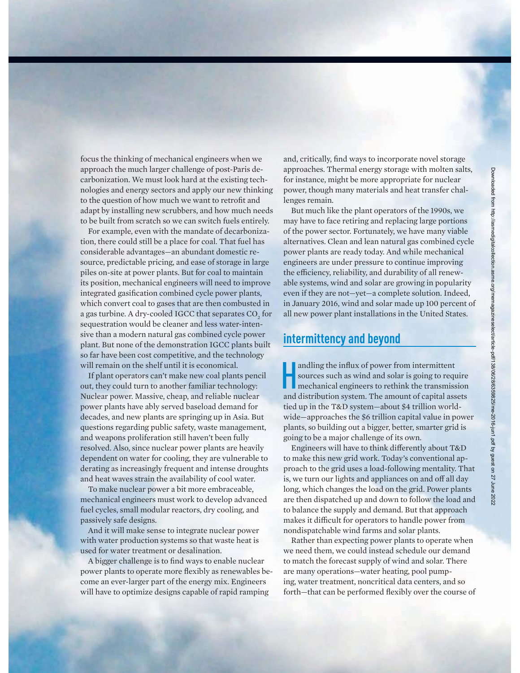focus the thinking of mechanical engineers when we approach the much larger challenge of post-Paris decarbonization. We must look hard at the existing technologies and energy sectors and apply our new thinking to the question of how much we want to retrofit and adapt by installing new scrubbers, and how much needs to be built from scratch so we can switch fuels entirely.

For example, even with the mandate of decarbonization, there could still be a place for coal. That fuel has considerable advantages—an abundant domestic resource, predictable pricing, and ease of storage in large piles on-site at power plants. But for coal to maintain its position, mechanical engineers will need to improve integrated gasification combined cycle power plants, which convert coal to gases that are then combusted in a gas turbine. A dry-cooled IGCC that separates  $\mathrm{CO}_\mathrm{2}$  for sequestration would be cleaner and less water-intensive than a modern natural gas combined cycle power plant. But none of the demonstration IGCC plants built so far have been cost competitive, and the technology will remain on the shelf until it is economical.

If plant operators can't make new coal plants pencil out, they could turn to another familiar technology: Nuclear power. Massive, cheap, and reliable nuclear power plants have ably served baseload demand for decades, and new plants are springing up in Asia. But questions regarding public safety, waste management, and weapons proliferation still haven't been fully resolved. Also, since nuclear power plants are heavily dependent on water for cooling, they are vulnerable to derating as increasingly frequent and intense droughts and heat waves strain the availability of cool water.

To make nuclear power a bit more embraceable, mechanical engineers must work to develop advanced fuel cycles, small modular reactors, dry cooling, and passively safe designs.

And it will make sense to integrate nuclear power with water production systems so that waste heat is used for water treatment or desalination.

A bigger challenge is to find ways to enable nuclear power plants to operate more flexibly as renewables become an ever-larger part of the energy mix. Engineers will have to optimize designs capable of rapid ramping

and, critically, find ways to incorporate novel storage approaches. Thermal energy storage with molten salts, for instance, might be more appropriate for nuclear power, though many materials and heat transfer challenges remain.

But much like the plant operators of the 1990s, we may have to face retiring and replacing large portions of the power sector. Fortunately, we have many viable alternatives. Clean and lean natural gas combined cycle power plants are ready today. And while mechanical engineers are under pressure to continue improving the efficiency, reliability, and durability of all renewable systems, wind and solar are growing in popularity even if they are not—yet—a complete solution. Indeed, in January 2016, wind and solar made up 100 percent of all new power plant installations in the United States.

#### **intermittency and beyond**

andling the influx of power from intermittent<br>sources such as wind and solar is going to requ<br>mechanical engineers to rethink the transmiss<br>and distribution system. The amount of canital ass sources such as wind and solar is going to require mechanical engineers to rethink the transmission and distribution system. The amount of capital assets tied up in the T&D system—about \$4 trillion worldwide—approaches the \$6 trillion capital value in power plants, so building out a bigger, better, smarter grid is going to be a major challenge of its own.

Engineers will have to think differently about T&D to make this new grid work. Today's conventional approach to the grid uses a load-following mentality. That is, we turn our lights and appliances on and off all day long, which changes the load on the grid. Power plants are then dispatched up and down to follow the load and to balance the supply and demand. But that approach makes it difficult for operators to handle power from nondispatchable wind farms and solar plants.

Rather than expecting power plants to operate when we need them, we could instead schedule our demand to match the forecast supply of wind and solar. There are many operations—water heating, pool pumping, water treatment, noncritical data centers, and so forth—that can be performed flexibly over the course of